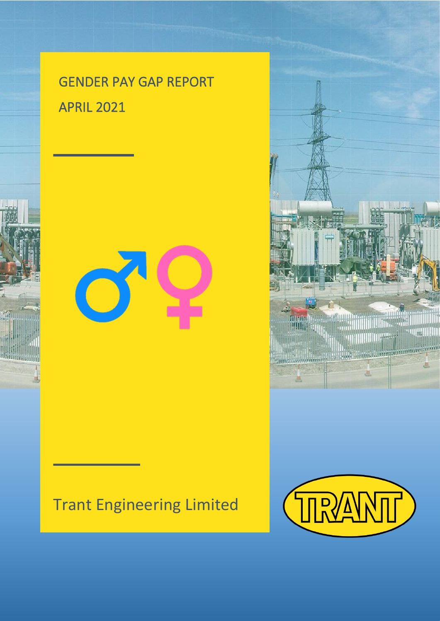# GENDER PAY GAP REPORT APRIL 2021



# Trant Engineering Limited



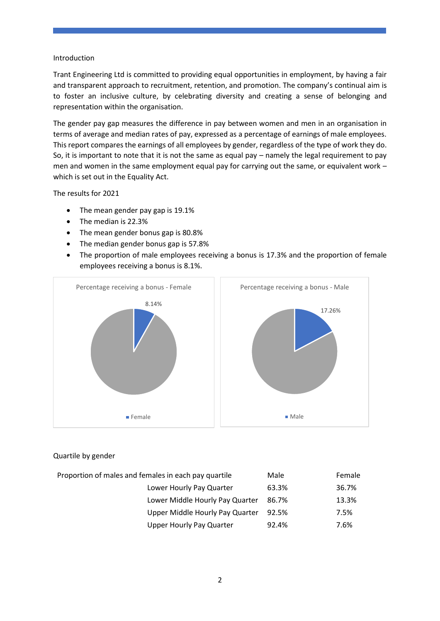#### Introduction

Trant Engineering Ltd is committed to providing equal opportunities in employment, by having a fair and transparent approach to recruitment, retention, and promotion. The company's continual aim is to foster an inclusive culture, by celebrating diversity and creating a sense of belonging and representation within the organisation.

The gender pay gap measures the difference in pay between women and men in an organisation in terms of average and median rates of pay, expressed as a percentage of earnings of male employees. This report compares the earnings of all employees by gender, regardless of the type of work they do. So, it is important to note that it is not the same as equal pay – namely the legal requirement to pay men and women in the same employment equal pay for carrying out the same, or equivalent work – which is set out in the Equality Act.

The results for 2021

- The mean gender pay gap is 19.1%
- The median is 22.3%
- The mean gender bonus gap is 80.8%
- The median gender bonus gap is 57.8%
- The proportion of male employees receiving a bonus is 17.3% and the proportion of female employees receiving a bonus is 8.1%.



## Quartile by gender

| Proportion of males and females in each pay quartile | Male  | Female |
|------------------------------------------------------|-------|--------|
| Lower Hourly Pay Quarter                             | 63.3% | 36.7%  |
| Lower Middle Hourly Pay Quarter                      | 86.7% | 13.3%  |
| Upper Middle Hourly Pay Quarter                      | 92.5% | 7.5%   |
| <b>Upper Hourly Pay Quarter</b>                      | 92.4% | 7.6%   |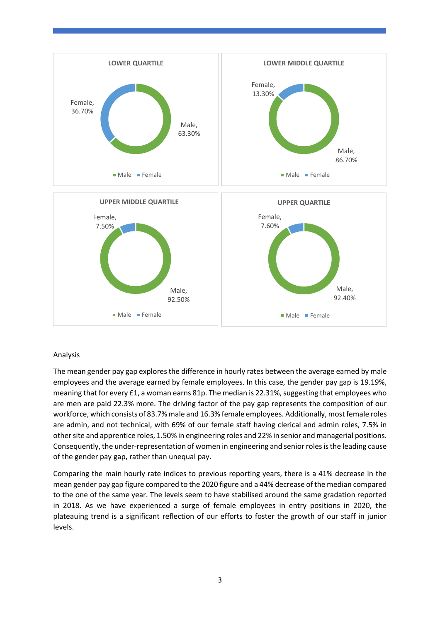

### Analysis

The mean gender pay gap explores the difference in hourly rates between the average earned by male employees and the average earned by female employees. In this case, the gender pay gap is 19.19%, meaning that for every £1, a woman earns 81p. The median is 22.31%, suggesting that employees who are men are paid 22.3% more. The driving factor of the pay gap represents the composition of our workforce, which consists of 83.7% male and 16.3% female employees. Additionally, most female roles are admin, and not technical, with 69% of our female staff having clerical and admin roles, 7.5% in other site and apprentice roles, 1.50% in engineering roles and 22% in senior and managerial positions. Consequently, the under-representation of women in engineering and senior roles is the leading cause of the gender pay gap, rather than unequal pay.

Comparing the main hourly rate indices to previous reporting years, there is a 41% decrease in the mean gender pay gap figure compared to the 2020 figure and a 44% decrease of the median compared to the one of the same year. The levels seem to have stabilised around the same gradation reported in 2018. As we have experienced a surge of female employees in entry positions in 2020, the plateauing trend is a significant reflection of our efforts to foster the growth of our staff in junior levels.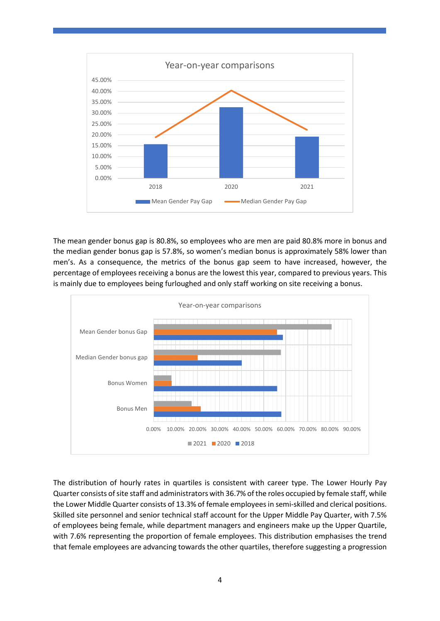

The mean gender bonus gap is 80.8%, so employees who are men are paid 80.8% more in bonus and the median gender bonus gap is 57.8%, so women's median bonus is approximately 58% lower than men's. As a consequence, the metrics of the bonus gap seem to have increased, however, the percentage of employees receiving a bonus are the lowest this year, compared to previous years. This is mainly due to employees being furloughed and only staff working on site receiving a bonus.



The distribution of hourly rates in quartiles is consistent with career type. The Lower Hourly Pay Quarter consists of site staff and administrators with 36.7% of the roles occupied by female staff, while the Lower Middle Quarter consists of 13.3% of female employees in semi-skilled and clerical positions. Skilled site personnel and senior technical staff account for the Upper Middle Pay Quarter, with 7.5% of employees being female, while department managers and engineers make up the Upper Quartile, with 7.6% representing the proportion of female employees. This distribution emphasises the trend that female employees are advancing towards the other quartiles, therefore suggesting a progression